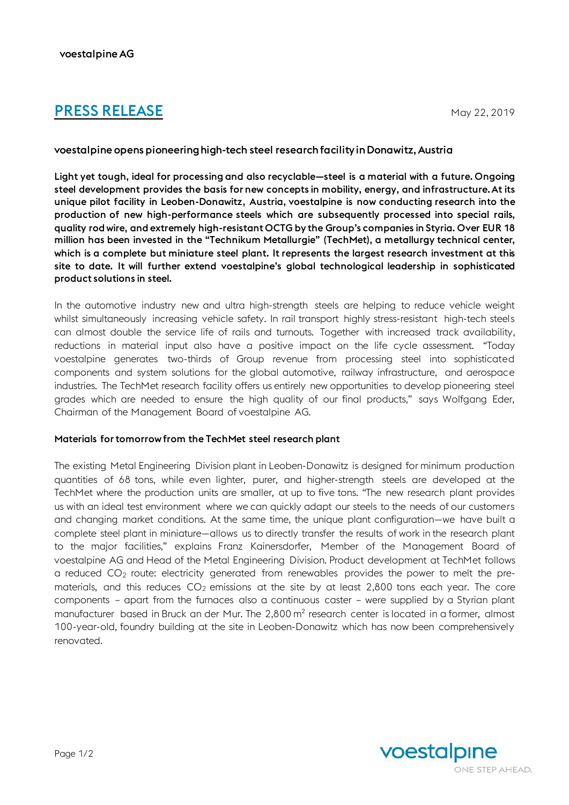# **PRESS RELEASE** May 22, 2019

# voestalpine opens pioneering high-tech steel research facility in Donawitz, Austria

Light yet tough, ideal for processing and also recyclable—steel is a material with a future. Ongoing steel development provides the basis for new concepts in mobility, energy, and infrastructure.At its unique pilot facility in Leoben-Donawitz, Austria, voestalpine is now conducting research into the production of new high-performance steels which are subsequently processed into special rails, quality rod wire, and extremely high-resistant OCTG by the Group's companies in Styria. Over EUR 18 million has been invested in the "Technikum Metallurgie" (TechMet), a metallurgy technical center, which is a complete but miniature steel plant. It represents the largest research investment at this site to date. It will further extend voestalpine's global technological leadership in sophisticated product solutions in steel.

In the automotive industry new and ultra high-strength steels are helping to reduce vehicle weight whilst simultaneously increasing vehicle safety. In rail transport highly stress-resistant high-tech steels can almost double the service life of rails and turnouts. Together with increased track availability, reductions in material input also have a positive impact on the life cycle assessment. "Today voestalpine generates two-thirds of Group revenue from processing steel into sophisticated components and system solutions for the global automotive, railway infrastructure, and aerospace industries. The TechMet research facility offers us entirely new opportunities to develop pioneering steel grades which are needed to ensure the high quality of our final products," says Wolfgang Eder, Chairman of the Management Board of voestalpine AG.

## Materials fortomorrow from the TechMet steel research plant

The existing Metal Engineering Division plant in Leoben-Donawitz is designed for minimum production quantities of 68 tons, while even lighter, purer, and higher-strength steels are developed at the TechMet where the production units are smaller, at up to five tons. "The new research plant provides us with an ideal test environment where we can quickly adapt our steels to the needs of our customers and changing market conditions. At the same time, the unique plant configuration—we have built a complete steel plant in miniature—allows us to directly transfer the results of work in the research plant to the major facilities," explains Franz Kainersdorfer, Member of the Management Board of voestalpine AG and Head of the Metal Engineering Division. Product development at TechMet follows a reduced  $CO<sub>2</sub>$  route: electricity generated from renewables provides the power to melt the prematerials, and this reduces  $CO<sub>2</sub>$  emissions at the site by at least 2,800 tons each year. The core components – apart from the furnaces also a continuous caster – were supplied by a Styrian plant manufacturer based in Bruck an der Mur. The 2,800 m² research center is located in a former, almost 100-year-old, foundry building at the site in Leoben-Donawitz which has now been comprehensively renovated.